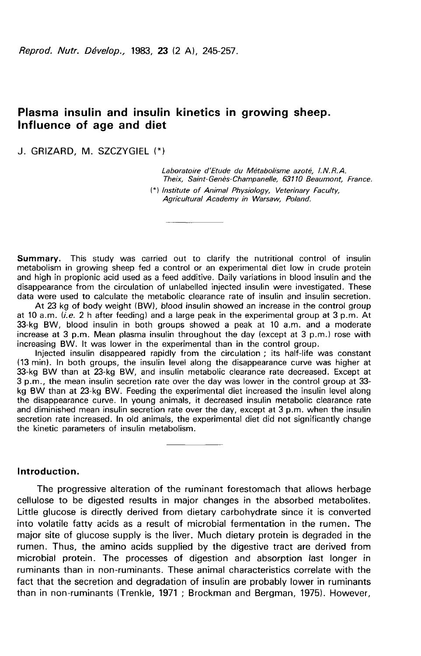# Plasma insulin and insulin kinetics in growing sheep. Influence of age and diet

J. GRIZARD, M. SZCZYGIEL

Laboratoire d'Etude du Métabolisme azoté, I.N.R.A. Theix, Saint-Genès-Champanelle, 63110 Beaumont, France. (\*) Institute of Animal Physiology, Veterinary Faculty, Agricultural Academy in Warsaw, Poland.

Summary. This study was carried out to clarify the nutritional control of insulin metabolism in growing sheep fed a control or an experimental diet low in crude protein and high in propionic acid used as a feed additive. Daily variations in blood insulin and the disappearance from the circulation of unlabelled injected insulin were investigated. These data were used to calculate the metabolic clearance rate of insulin and insulin secretion.

At 23 kg of body weight (BW), blood insulin showed an increase in the control group at 10 a.m.  $(i.e. 2 h$  after feeding) and a large peak in the experimental group at 3 p.m. At 33-kg BW, blood insulin in both groups showed a peak at 10 a.m. and a moderate increase at 3 p.m. Mean plasma insulin throughout the day (except at 3 p.m.) rose with increasing BW. It was lower in the experimental than in the control group.

Injected insulin disappeared rapidly from the circulation ; its half-life was constant (13 min). In both groups, the insulin level along the disappearance curve was higher at 33-kg BW than at 23-kg BW, and insulin metabolic clearance rate decreased. Except at 3 p.m., the mean insulin secretion rate over the day was lower in the control group at 33 kg BW than at 23-kg BW. Feeding the experimental diet increased the insulin level along the disappearance curve. In young animals, it decreased insulin metabolic clearance rate and diminished mean insulin secretion rate over the day, except at 3 p.m. when the insulin secretion rate increased. In old animals, the experimental diet did not significantly change the kinetic parameters of insulin metabolism.

Introduction.

The progressive alteration of the ruminant forestomach that allows herbage cellulose to be digested results in major changes in the absorbed metabolites. Little glucose is directly derived from dietary carbohydrate since it is converted into volatile fatty acids as a result of microbial fermentation in the rumen. The major site of glucose supply is the liver. Much dietary protein is degraded in the rumen. Thus, the amino acids supplied by the digestive tract are derived from microbial protein. The processes of digestion and absorption last longer in ruminants than in non-ruminants. These animal characteristics correlate with the fact that the secretion and degradation of insulin are probably lower in ruminants than in non-ruminants (Trenkle, 1971 ; Brockman and Bergman, 1975). However,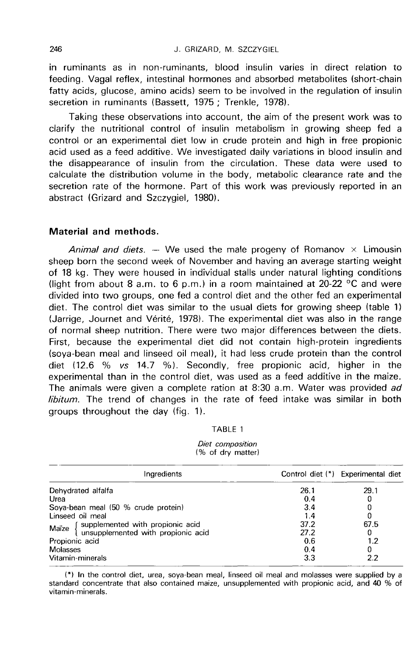in ruminants as in non-ruminants, blood insulin varies in direct relation to feeding. Vagal reflex, intestinal hormones and absorbed metabolites (short-chain fatty acids, glucose, amino acids) seem to be involved in the regulation of insulin secretion in ruminants (Bassett, 1975; Trenkle, 1978).

Taking these observations into account, the aim of the present work was to clarify the nutritional control of insulin metabolism in growing sheep fed a control or an experimental diet low in crude protein and high in free propionic acid used as a feed additive. We investigated daily variations in blood insulin and the disappearance of insulin from the circulation. These data were used to calculate the distribution volume in the body, metabolic clearance rate and the secretion rate of the hormone. Part of this work was previously reported in an abstract (Grizard and Szczygiel, 1980).

## Material and methods.

Animal and diets.  $-$  We used the male progeny of Romanov  $\times$  Limousin sheep born the second week of November and having an average starting weight of 18 kg. They were housed in individual stalls under natural lighting conditions (light from about 8 a.m. to 6 p.m.) in a room maintained at 20-22  $\degree$ C and were divided into two groups, one fed a control diet and the other fed an experimental diet. The control diet was similar to the usual diets for growing sheep (table 1) (Jarrige, Journet and Vérité, 1978). The experimental diet was also in the range of normal sheep nutrition. There were two major differences between the diets. First, because the experimental diet did not contain high-protein ingredients (soya-bean meal and linseed oil meal), it had less crude protein than the control diet (12.6 % vs 14.7 %). Secondly, free propionic acid, higher in the experimental than in the control diet, was used as a feed additive in the maize. The animals were given a complete ration at 8:30 a.m. Water was provided ad libitum. The trend of changes in the rate of feed intake was similar in both groups throughout the day (fig. 1).

| ш<br>١ |  |
|--------|--|
|--------|--|

#### Diet composition (% of dry matter)

| Ingredients                                                                    |      | Control diet (*) Experimental diet |
|--------------------------------------------------------------------------------|------|------------------------------------|
| Dehydrated alfalfa                                                             | 26.1 | 29.1                               |
| Urea                                                                           | 0.4  | U                                  |
| Soya-bean meal (50 % crude protein)                                            | 3.4  |                                    |
| Linseed oil meal                                                               | 1.4  |                                    |
|                                                                                | 37.2 | 67.5                               |
| Maïze { supplemented with propionic acid<br>unsupplemented with propionic acid | 27.2 | o                                  |
| Propionic acid                                                                 | 0.6  | 1.2                                |
| Molasses                                                                       | 0.4  | 0                                  |
| Vitamin-minerals                                                               | 3.3  | 2.2                                |

(\*) In the control diet, urea, soya-bean meal, linseed oil meal and molasses were supplied by a standard concentrate that also contained maize, unsupplemented with propionic acid, and 40 % of vitamin-minerals.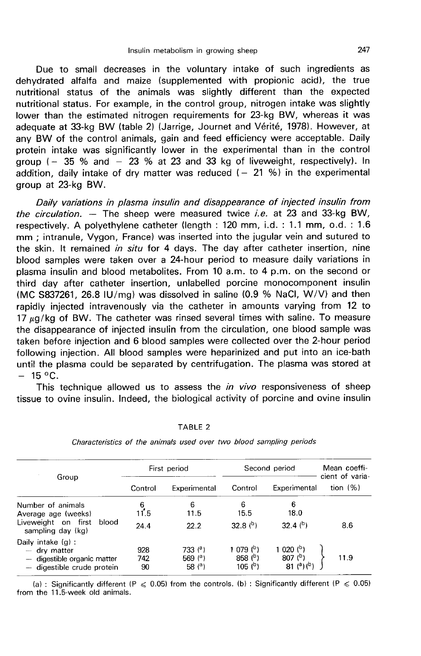Due to small decreases in the voluntary intake of such ingredients as dehydrated alfalfa and maize (supplemented with propionic acid), the true nutritional status of the animals was slightly different than the expected nutritional status. For example, in the control group, nitrogen intake was slightly lower than the estimated nitrogen requirements for 23-kg BW, whereas it was adequate at 33-kg BW (table 2) (Jarrige, Journet and Vérité, 1978). However, at any BW of the control animals, gain and feed efficiency were acceptable. Daily protein intake was significantly lower in the experimental than in the control group ( $-$  35 % and  $-$  23 % at 23 and 33 kg of liveweight, respectively). In addition, daily intake of dry matter was reduced  $(-21\%)$  in the experimental group at 23-kg BW.

Daily variations in plasma insulin and disappearance of injected insulin from the circulation.  $-$  The sheep were measured twice i.e. at 23 and 33-kg BW, respectively. A polyethylene catheter (length : 120 mm, i.d. : 1.1 mm, o.d. : 1.6 mm ; intranule, Vygon, France) was inserted into the jugular vein and sutured to the skin. It remained in situ for 4 days. The day after catheter insertion, nine blood samples were taken over a 24-hour period to measure daily variations in plasma insulin and blood metabolites. From 10 a.m. to 4 p.m. on the second or third day after catheter insertion, unlabelled porcine monocomponent insulin (MC S837261, 26.8 IU/mg) was dissolved in saline (0.9 % NaCl, W/V) and then rapidly injected intravenously via the catheter in amounts varying from 12 to 17  $\mu$ g/kg of BW. The catheter was rinsed several times with saline. To measure the disappearance of injected insulin from the circulation, one blood sample was taken before injection and 6 blood samples were collected over the 2-hour period following injection. All blood samples were heparinized and put into an ice-bath until the plasma could be separated by centrifugation. The plasma was stored at  $- 15 °C$ .

This technique allowed us to assess the *in vivo* responsiveness of sheep tissue to ovine insulin. Indeed, the biological activity of porcine and ovine insulin

| Group                                                                                             |                  | First period                       |                                                       | Second period                                                                 | Mean coeffi-<br>cient of varia- |
|---------------------------------------------------------------------------------------------------|------------------|------------------------------------|-------------------------------------------------------|-------------------------------------------------------------------------------|---------------------------------|
|                                                                                                   | Control          | Experimental                       | Control                                               | Experimental                                                                  | tion $(%)$                      |
| Number of animals<br>Average age (weeks)                                                          | 6<br>11.5        | 6<br>11.5                          | 6<br>15.5                                             | 6<br>18.0                                                                     |                                 |
| Liveweight on first<br>blood<br>sampling day (kg)                                                 | 24.4             | 22.2                               | 32.8 $(b)$                                            | 32.4 $(b)$                                                                    | 8.6                             |
| Daily intake $(g)$ :<br>- dry matter<br>- digestible organic matter<br>- digestible crude protein | 928<br>742<br>90 | 733 $(°)$<br>569 $(°)$<br>58 $(3)$ | 1 079 $(^{b})$<br>858 $(P)$<br>$105$ ( <sup>b</sup> ) | 1 0 $(1)$<br>807 <sup>(b)</sup><br>$81^{a}$ ( <sup>a</sup> ) ( <sup>b</sup> ) | 11.9                            |

TABLE<sub>2</sub>

Characteristics of the animals used over two blood sampling periods

(a): Significantly different (P  $\leq 0.05$ ) from the controls. (b): Significantly different (P  $\leq 0.05$ ) from the 11.5-week old animals.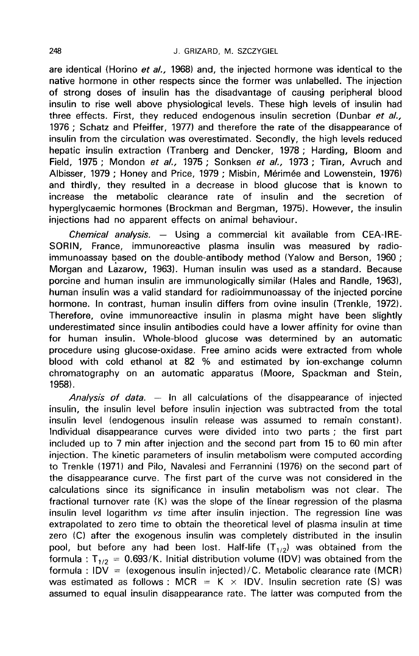are identical (Horino et al., 1968) and, the injected hormone was identical to the native hormone in other respects since the former was unlabelled. The injection of strong doses of insulin has the disadvantage of causing peripheral blood insulin to rise well above physiological levels. These high levels of insulin had three effects. First, they reduced endogenous insulin secretion (Dunbar et al., 1976 ; Schatz and Pfeiffer, 1977) and therefore the rate of the disappearance of insulin from the circulation was overestimated. Secondly, the high levels reduced hepatic insulin extraction (Tranberg and Dencker, 1978 ; Harding, Bloom and Field, 1975 ; Mondon et al., 1975 ; Sonksen et al., 1973 ; Tiran, Avruch and Albisser, 1979 ; Honey and Price, 1979 ; Misbin, Mérimée and Lowenstein, 1976) and thirdly, they resulted in a decrease in blood glucose that is known to increase the metabolic clearance rate of insulin and the secretion of hyperglycaemic hormones (Brockman and Bergman, 1975). However, the insulin injections had no apparent effects on animal behaviour.

Chemical analysis.  $-$  Using a commercial kit available from CEA-IRE-SORIN, France, immunoreactive plasma insulin was measured by radioimmunoassay based on the double-antibody method (Yalow and Berson, 1960 ; Morgan and Lazarow, 1963). Human insulin was used as a standard. Because porcine and human insulin are immunologically similar (Hales and Randle, 1963), human insulin was a valid standard for radioimmunoassay of the injected porcine hormone. In contrast, human insulin differs from ovine insulin (Trenkle, 1972). Therefore, ovine immunoreactive insulin in plasma might have been slightly underestimated since insulin antibodies could have a lower affinity for ovine than for human insulin. Whole-blood glucose was determined by an automatic procedure using glucose-oxidase. Free amino acids were extracted from whole blood with cold ethanol at 82 % and estimated by ion-exchange column chromatography on an automatic apparatus (Moore, Spackman and Stein, 1958).

Analysis of data.  $-$  In all calculations of the disappearance of injected insulin, the insulin level before insulin injection was subtracted from the total insulin level (endogenous insulin release was assumed to remain constant). Individual disappearance curves were divided into two parts ; the first part included up to 7 min after injection and the second part from 15 to 60 min after injection. The kinetic parameters of insulin metabolism were computed according to Trenkle (1971) and Pilo, Navalesi and Ferrannini (1976) on the second part of the disappearance curve. The first part of the curve was not considered in the calculations since its significance in insulin metabolism was not clear. The fractional turnover rate (K) was the slope of the linear regression of the plasma insulin level logarithm vs time after insulin injection. The regression line was extrapolated to zero time to obtain the theoretical level of plasma insulin at time zero (C) after the exogenous insulin was completely distributed in the insulin pool, but before any had been lost. Half-life  $(T_{1/2})$  was obtained from the formula :  $T_{1/2} = 0.693/K$ . Initial distribution volume (IDV) was obtained from the formula :  $IDV =$  (exogenous insulin injected)/C. Metabolic clearance rate (MCR) was estimated as follows : MCR = K  $\times$  IDV. Insulin secretion rate (S) was assumed to equal insulin disappearance rate. The latter was computed from the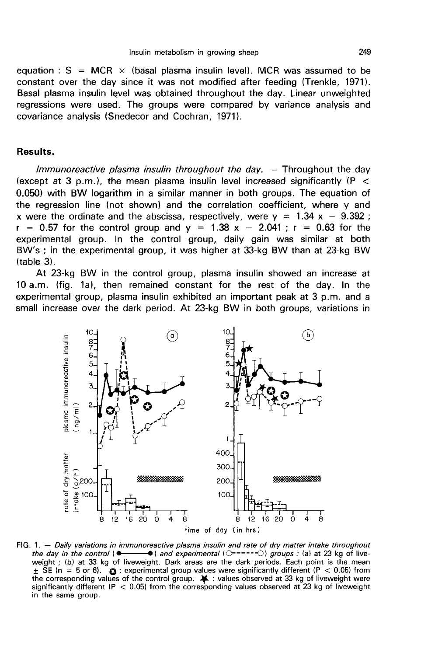equation :  $S = MCR \times$  (basal plasma insulin level). MCR was assumed to be constant over the day since it was not modified after feeding (Trenkle, 1971). Basal plasma insulin level was obtained throughout the day. Linear unweighted regressions were used. The groups were compared by variance analysis and covariance analysis (Snedecor and Cochran, 1971).

# Results.

Immunoreactive plasma insulin throughout the day.  $-$  Throughout the day (except at 3 p.m.), the mean plasma insulin level increased significantly ( $P <$ 0.050) with BW logarithm in a similar manner in both groups. The equation of the regression line (not shown) and the correlation coefficient, where y and x were the ordinate and the abscissa, respectively, were  $y = 1.34$  x - 9.392;  $r = 0.57$  for the control group and  $y = 1.38$  x - 2.041;  $r = 0.63$  for the experimental group. In the control group, daily gain was similar at both BW's ; in the experimental group, it was higher at 33-kg BW than at 23-kg BW (table 3).

At 23-kg BW in the control group, plasma insulin showed an increase at 10 a.m. (fig. la), then remained constant for the rest of the day. In the experimental group, plasma insulin exhibited an important peak at 3 p.m. and a small increase over the dark period. At 23-kg BW in both groups, variations in



FIG. 1. -- Daily variations in immunoreactive plasma insulin and rate of dry matter intake throughout the day in the control  $\bullet$  $\rightarrow$  and experimental ( $\circ$ ----- $\circ$ ) groups : (a) at 23 kg of liveweight; (b) at 33 kg of liveweight. Dark areas are the dark periods. Each point is the mean  $\pm$  SE (n = 5 or 6).  $\bullet$  : experimental group values were significantly different (P < 0.05) from the corresponding values of the control group.  $\blacktriangleright$  : values observed at 33 kg of liveweight were significantly different ( $P < 0.05$ ) from the corresponding values observed at 23 kg of liveweight in the same group.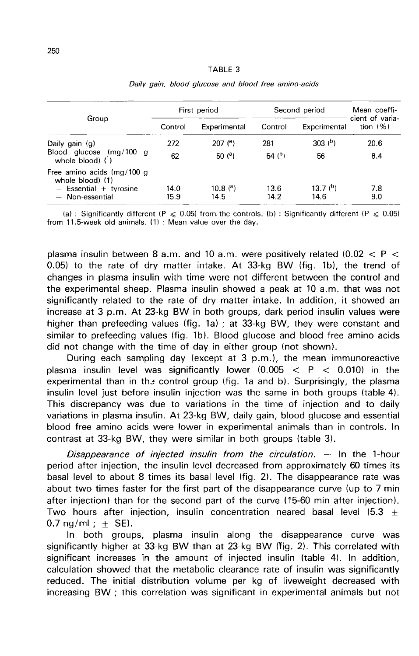#### TABLE 3

|                                                                                               |              | First period                       |                 | Second period               | Mean coeffi-                   |
|-----------------------------------------------------------------------------------------------|--------------|------------------------------------|-----------------|-----------------------------|--------------------------------|
| Group                                                                                         | Control      | Experimental                       | Control         | Experimental                | cient of varia-<br>tion $(% )$ |
| Daily gain $(q)$<br>Blood glucose (mg/100 g<br>whole blood) $(1)$                             | 272<br>62    | $207$ ( <sup>a</sup> )<br>50 $(°)$ | 281<br>54 $(b)$ | 303 <sup>b</sup><br>56      | 20.6<br>8.4                    |
| Free amino acids (mg/100 g<br>whole blood) (1)<br>$-$ Essential + tyrosine<br>- Non-essential | 14.0<br>15.9 | $10.8{a}$<br>14.5                  | 13.6<br>14.2    | 13.7 <sup>(b)</sup><br>14.6 | 7.8<br>9.0                     |

### Daily gain, blood glucose and blood free amino-acids

(a) : Significantly different (P  $\leqslant$  0.05) from the controls. (b) : Significantly different (P  $\leqslant$  0.05) from 11.5-week old animals. (1) : Mean value over the day.

plasma insulin between 8 a.m. and 10 a.m. were positively related  $(0.02 < P <$ 0.05) to the rate of dry matter intake. At 33-kg BW (fig. 1b), the trend of changes in plasma insulin with time were not different between the control and the experimental sheep. Plasma insulin showed a peak at 10 a.m. that was not significantly related to the rate of dry matter intake. In addition, it showed an increase at 3 p.m. At 23-kg BW in both groups, dark period insulin values were higher than prefeeding values (fig. 1a) ; at 33-kg BW, they were constant and similar to prefeeding values (fig. 1b). Blood glucose and blood free amino acids did not change with the time of day in either group (not shown).

During each sampling day (except at 3 p.m.), the mean immunoreactive plasma insulin level was significantly lower  $(0.005 < P < 0.010)$  in the experimental than in the control group (fig. 1a and b). Surprisingly, the plasma insulin level just before insulin injection was the same in both groups (table 4). This discrepancy was due to variations in the time of injection and to daily variations in plasma insulin. At 23-kg BW, daily gain, blood glucose and essential blood free amino acids were lower in experimental animals than in controls. In contrast at 33-kg BW, they were similar in both groups (table 3).

Disappearance of injected insulin from the circulation.  $-$  In the 1-hour period after injection, the insulin level decreased from approximately 60 times its basal level to about 8 times its basal level (fig. 2). The disappearance rate was about two times faster for the first part of the disappearance curve (up to 7 min after injection) than for the second part of the curve (15-60 min after injection). Two hours after injection, insulin concentration neared basal level  $(5.3 +$  $0.7 \text{ na/ml}$  : + SE).

In both groups, plasma insulin along the disappearance curve was significantly higher at 33-kg BW than at 23-kg BW (fig. 2). This correlated with significant increases in the amount of injected insulin (table 4). In addition, calculation showed that the metabolic clearance rate of insulin was significantly reduced. The initial distribution volume per kg of liveweight decreased with increasing BW ; this correlation was significant in experimental animals but not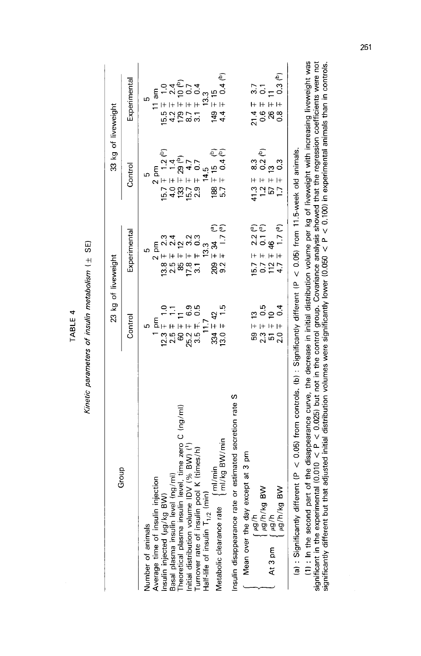TABLE 4

Kinetic parameters of insulin metabolism ( $\pm$  SE)

| Group                                                                                                                                                                                                                                              | 23 kg of liveweight                                                                   |                                                                                                                                                                                                       | 33 kg of liveweight                                                                                                                                           |                                                                                                                                                                                  |
|----------------------------------------------------------------------------------------------------------------------------------------------------------------------------------------------------------------------------------------------------|---------------------------------------------------------------------------------------|-------------------------------------------------------------------------------------------------------------------------------------------------------------------------------------------------------|---------------------------------------------------------------------------------------------------------------------------------------------------------------|----------------------------------------------------------------------------------------------------------------------------------------------------------------------------------|
|                                                                                                                                                                                                                                                    | Contro                                                                                | Experimental                                                                                                                                                                                          | Control                                                                                                                                                       | Experimental                                                                                                                                                                     |
| Number of animals                                                                                                                                                                                                                                  | Ю                                                                                     | Ю                                                                                                                                                                                                     | 5                                                                                                                                                             | Ю                                                                                                                                                                                |
|                                                                                                                                                                                                                                                    |                                                                                       |                                                                                                                                                                                                       |                                                                                                                                                               |                                                                                                                                                                                  |
| Average time of insulin injection<br>Insulin injected (µg/kg BW)<br>Insulin injected (µg/kg                                                                                                                                                        | $12.3 \pm 1.0$<br>$2.5 \pm 1.1$<br>$26.2 \pm 1.1$<br>$26.2 \pm 6.9$<br>$3.5 \pm 0.05$ |                                                                                                                                                                                                       | 15.7 $\frac{2}{1}$ pm<br>16.7 $\frac{1}{1}$ 1.2 ( <sup>b</sup> )<br>13.3 $\frac{1}{1}$ 29 ( <sup>b</sup> )<br>13.3 $\frac{1}{1}$ 3.7<br>2.9 $\frac{1}{1}$ 4.5 |                                                                                                                                                                                  |
|                                                                                                                                                                                                                                                    |                                                                                       |                                                                                                                                                                                                       |                                                                                                                                                               |                                                                                                                                                                                  |
|                                                                                                                                                                                                                                                    |                                                                                       |                                                                                                                                                                                                       |                                                                                                                                                               |                                                                                                                                                                                  |
|                                                                                                                                                                                                                                                    |                                                                                       |                                                                                                                                                                                                       |                                                                                                                                                               |                                                                                                                                                                                  |
| Basal plasma insulin level (ng/ml)<br>Theoretical plasma insulin level, time zero C (ng/ml)<br>Initial distribution volume IDV (% BW) ( <sup>1</sup> )<br>Turnover rate of insulin pool K (times/h)<br>Half-life of insulin T <sub>1/3</sub> (min) |                                                                                       |                                                                                                                                                                                                       |                                                                                                                                                               |                                                                                                                                                                                  |
| Half-life of insulin $T_{1/2}$ (                                                                                                                                                                                                                   | 11.7                                                                                  |                                                                                                                                                                                                       |                                                                                                                                                               |                                                                                                                                                                                  |
|                                                                                                                                                                                                                                                    |                                                                                       | $\begin{array}{c} 2 \text{ pm} \\ 13.8 \pm 2.3 \\ 2.5 \pm 1.2 \\ 2.5 \pm 1.2 \\ 2.3 \pm 1.2 \\ 3.3 \pm 1.7 \\ 3.3 \pm 1.7 \\ 3.3 \pm 1.7 \\ 3.3 \pm 1.7 \\ 3.3 \pm 1.7 \\ 4.3 \pm 1.7 \\ \end{array}$ |                                                                                                                                                               |                                                                                                                                                                                  |
| $\left\{\frac{m}{m} \right\}$ ml/kg BW/min<br>Metabolic clearance rate                                                                                                                                                                             | $334 \pm 42$<br>13.0 $\pm$ 1.5                                                        | ිල                                                                                                                                                                                                    | $\mp$ 15 (b)<br>$\mp$ 0.4 (b)<br>ន<br>និង                                                                                                                     | $\begin{array}{l} 11 \text{ am} \\ 15.5 \pm 1.0 \\ 4.2 \mp 1.0 \\ 179 \pm 10 \\ 3.1 \mp 0.0 \\ 3.1 \mp 1.0 \\ 149 \pm 1.0 \\ 149 \mp 1.5 \\ 144 \mp 0.4 \text{ (b)} \end{array}$ |
| S<br>insulin disappearance rate or estimated secretion rate                                                                                                                                                                                        |                                                                                       |                                                                                                                                                                                                       |                                                                                                                                                               |                                                                                                                                                                                  |
| except at 3 pm<br>Mean over the day                                                                                                                                                                                                                |                                                                                       |                                                                                                                                                                                                       |                                                                                                                                                               |                                                                                                                                                                                  |
| 4/6n                                                                                                                                                                                                                                               |                                                                                       |                                                                                                                                                                                                       |                                                                                                                                                               |                                                                                                                                                                                  |
| $\geqslant$<br>i ng/h/kg F<br>f ng/h                                                                                                                                                                                                               |                                                                                       | $2.2$ ( <sup>a</sup> )<br>46<br>1.7 ( <sup>a</sup> )<br>15.7 H<br>17.7 H<br>17.7 H                                                                                                                    | $41.3 + 7 + 7$<br>$1.2 + 7 + 7 + 7$<br>$1.2 + 7 + 7 + 7$                                                                                                      | $21.4 + 7.08$<br>0.88<br>0.88                                                                                                                                                    |
| At 3 pm                                                                                                                                                                                                                                            |                                                                                       |                                                                                                                                                                                                       |                                                                                                                                                               |                                                                                                                                                                                  |
| $\geq$<br>py/p/kg                                                                                                                                                                                                                                  | $59 + 13$<br>$2.3 + 0.5$<br>$51 + 10$<br>$50 + 0.4$                                   |                                                                                                                                                                                                       |                                                                                                                                                               | $\begin{bmatrix} 3.7 \\ 0.1 \\ 1 & 0.3 \\ 0.3 & ^{(b)} \end{bmatrix}$                                                                                                            |
| (a): Significantly different (P $\lt$ 0.05) from controls. (b): Significantly different (P $\lt$ 0.05) from 11.5-week old animals.                                                                                                                 |                                                                                       |                                                                                                                                                                                                       |                                                                                                                                                               |                                                                                                                                                                                  |

 $\frac{1}{2}$  $\frac{1}{2}$ 

(1) : In the second part of the disappearance curve, the decrease in initial distribution volume per kg of liveweight with increasing liveweight was<br>significant in the experimental (0.010 < P < 0.025) but not in the contr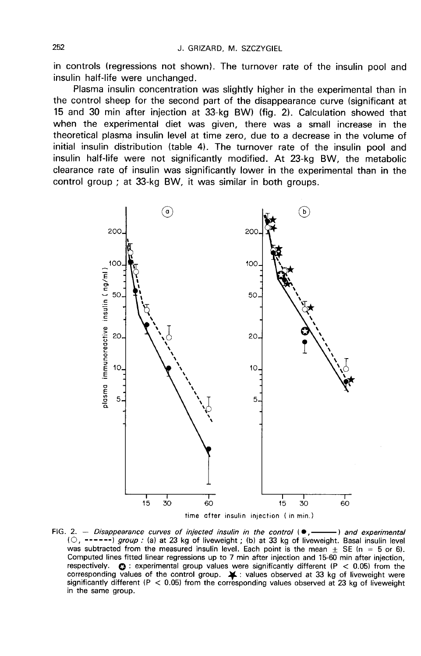in controls (regressions not shown). The turnover rate of the insulin pool and insulin half-life were unchanged.

Plasma insulin concentration was slightly higher in the experimental than in the control sheep for the second part of the disappearance curve (significant at 15 and 30 min after injection at 33-kg BW) (fig. 2). Calculation showed that when the experimental diet was given, there was a small increase in the theoretical plasma insulin level at time zero, due to a decrease in the volume of initial insulin distribution (table 4). The turnover rate of the insulin pool and insulin half-life were not significantly modified. At 23-kg BW, the metabolic clearance rate of insulin was significantly lower in the experimental than in the control group ; at 33-kg BW, it was similar in both groups.



FIG. 2. - Disappearance curves of injected insulin in the control  $\bullet$ . -) and experimental (O, ------) group: (a) at 23 kg of liveweight; (b) at 33 kg of liveweight. Basal insulin level was subtracted from the measured insulin level. Each point is the mean  $\pm$  SE (n = 5 or 6). Computed lines fitted linear regressions up to 7 min after injection and 15-60 min after injection, respectively.  $\bullet$  : experimental group values were significantly different (P < 0.05) from the corresponding values of the control group.  $\blacktriangleright$  : values observed at 33 kg of liveweight were significantly different ( $P < 0.05$ ) from the corresponding values observed at 23 kg of liveweight in the same group.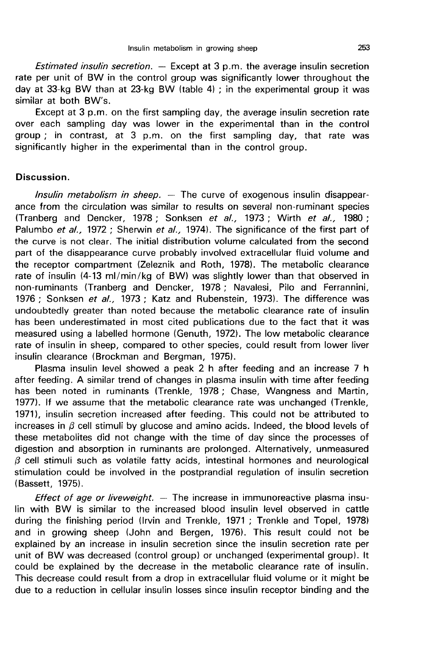*Estimated insulin secretion.*  $-$  Except at 3 p.m. the average insulin secretion rate per unit of BW in the control group was significantly lower throughout the day at 33-kg BW than at 23-kg BW (table 4) ; in the experimental group it was similar at both BW's.

Except at 3 p.m. on the first sampling day, the average insulin secretion rate over each sampling day was lower in the experimental than in the control group ; in contrast, at 3 p.m. on the first sampling day, that rate was significantly higher in the experimental than in the control group.

### Discussion.

Insulin metabolism in sheep.  $-$  The curve of exogenous insulin disappearance from the circulation was similar to results on several non-ruminant species (Tranberg and Dencker, 1978 ; Sonksen et al., 1973 ; Wirth et al., 1980 ; Palumbo et al., 1972 ; Sherwin et al., 1974). The significance of the first part of the curve is not clear. The initial distribution volume calculated from the second part of the disappearance curve probably involved extracellular fluid volume and the receptor compartment (Zeleznik and Roth, 1978). The metabolic clearance rate of insulin (4-13 ml/min/kg of BW) was slightly lower than that observed in non-ruminants (Tranberg and Dencker, 1978 ; Navalesi, Pilo and Ferrannini, 1976 ; Sonksen et al., 1973 ; Katz and Rubenstein, 1973). The difference was undoubtedly greater than noted because the metabolic clearance rate of insulin has been underestimated in most cited publications due to the fact that it was measured using a labelled hormone (Genuth, 1972). The low metabolic clearance rate of insulin in sheep, compared to other species, could result from lower liver insulin clearance (Brockman and Bergman, 1975).

Plasma insulin level showed a peak 2 h after feeding and an increase 7 h after feeding. A similar trend of changes in plasma insulin with time after feeding has been noted in ruminants (Trenkle, 1978; Chase, Wangness and Martin, 1977). If we assume that the metabolic clearance rate was unchanged (Trenkle, 1971), insulin secretion increased after feeding. This could not be attributed to increases in  $\beta$  cell stimuli by glucose and amino acids. Indeed, the blood levels of these metabolites did not change with the time of day since the processes of digestion and absorption in ruminants are prolonged. Alternatively, unmeasured  $\beta$  cell stimuli such as volatile fatty acids, intestinal hormones and neurological stimulation could be involved in the postprandial regulation of insulin secretion (Bassett, 1975).

*Effect of age or liveweight.*  $-$  The increase in immunoreactive plasma insulin with BW is similar to the increased blood insulin level observed in cattle during the finishing period (lrvin and Trenkle, 1971 ; Trenkle and Topel, 1978) and in growing sheep (John and Bergen, 1976). This result could not be explained by an increase in insulin secretion since the insulin secretion rate per unit of BW was decreased (control group) or unchanged (experimental group). It could be explained by the decrease in the metabolic clearance rate of insulin. This decrease could result from a drop in extracellular fluid volume or it might be due to a reduction in cellular insulin losses since insulin receptor binding and the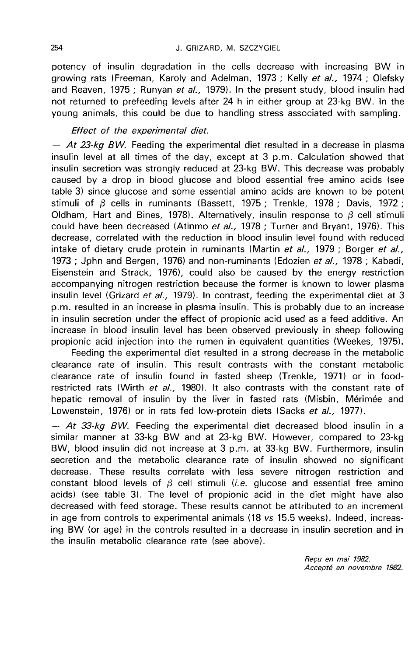potency of insulin degradation in the cells decrease with increasing BW in growing rats (Freeman, Karoly and Adelman, 1973 ; Kelly et al., 1974 ; Olefsky and Reaven, 1975 ; Runyan et al., 1979). In the present study, blood insulin had not returned to prefeeding levels after 24 h in either group at 23-kg BW. in the young animals, this could be due to handling stress associated with sampling.

# Effect of the experimental diet.

 $-$  At 23-kg BW. Feeding the experimental diet resulted in a decrease in plasma insulin level at all times of the day, except at 3 p.m. Calculation showed that insulin secretion was strongly reduced at 23-kg BW. This decrease was probably caused by a drop in blood glucose and blood essential free amino acids (see table 3) since glucose and some essential amino acids are known to be potent stimuli of  $\beta$  cells in ruminants (Bassett, 1975 ; Trenkle, 1978 ; Davis, 1972 ; Oldham, Hart and Bines, 1978). Alternatively, insulin response to  $\beta$  cell stimuli could have been decreased (Atinmo et al., 1978 ; Turner and Bryant, 1976). This decrease, correlated with the reduction in blood insulin level found with reduced intake of dietary crude protein in ruminants (Martin et  $al_{1}$ , 1979; Borger et  $al_{1}$ , 1973 ; John and Bergen, 1976) and non-ruminants (Edozien et al., 1978 ; Kabadi, Eisenstein and Strack, 1976), could also be caused by the energy restriction accompanying nitrogen restriction because the former is known to lower plasma insulin level (Grizard et al., 1979). In contrast, feeding the experimental diet at 3 p.m. resulted in an increase in plasma insulin. This is probably due to an increase in insulin secretion under the effect of propionic acid used as a feed additive. An increase in blood insulin level has been observed previously in sheep following propionic acid injection into the rumen in equivalent quantities (Weekes, 1975).

Feeding the experimental diet resulted in a strong decrease in the metabolic clearance rate of insulin. This result contrasts with the constant metabolic clearance rate of insulin found in fasted sheep (Trenkle, 1971) or in foodrestricted rats (Wirth et al., 1980). It also contrasts with the constant rate of hepatic removal of insulin by the liver in fasted rats (Misbin, Mérimée and Lowenstein, 1976) or in rats fed low-protein diets (Sacks et al., 1977).

 $-$  At 33-kg BW. Feeding the experimental diet decreased blood insulin in a similar manner at 33-kg BW and at 23-kg BW. However, compared to 23-kg BW, blood insulin did not increase at 3 p.m. at 33-kg BW. Furthermore, insulin secretion and the metabolic clearance rate of insulin showed no significant decrease. These results correlate with less severe nitrogen restriction and constant blood levels of  $\beta$  cell stimuli (*i.e.* glucose and essential free amino acids) (see table 3). The level of propionic acid in the diet might have also decreased with feed storage. These results cannot be attributed to an increment in age from controls to experimental animals (18 vs 15.5 weeks). Indeed, increasing BW (or age) in the controls resulted in a decrease in insulin secretion and in the insulin metabolic clearance rate (see above).

> Recu en mai 1982. Accepté en novembre 1982.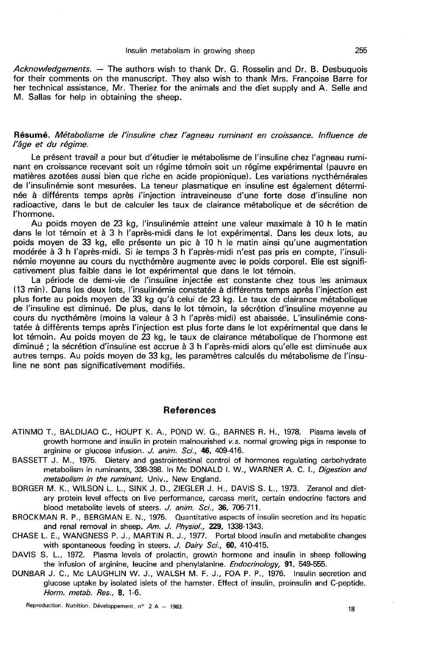Acknowledgements. — The authors wish to thank Dr. G. Rosselin and Dr. B. Desbuquois for their comments on the manuscript. They also wish to thank Mrs. Francoise Barre for her technical assistance, Mr. Theriez for the animals and the diet supply and A. Selle and M. Sallas for help in obtaining the sheep.

### Résumé. Métabolisme de l'insuline chez l'agneau ruminant en croissance. lnfluence de l'âge et du régime.

Le présent travail a pour but d'étudier le métabolisme de l'insuline chez l'agneau ruminant en croissance recevant soit un régime témoin soit un régime expérimental (pauvre en matières azotées aussi bien que riche en acide propionique). Les variations nycthémérales de l'insulinémie sont mesurées. La teneur plasmatique en insuline est également déterminée à différents temps après l'injection intraveineuse d'une forte dose d'insuline non radioactive, dans le but de calculer les taux de clairance métabolique et de sécrétion de l'hormone.

Au poids moyen de 23 kg, l'insulinémie atteint une valeur maximale à 10 h le matin dans le lot témoin et à 3 h l'après-midi dans le lot expérimental. Dans les deux lots, au<br>poids moyen de 33 kg, elle présente un pic à 10 h le matin ainsi qu'une augmentation modérée à 3 h l'après-midi. Si le temps 3 h l'après-midi n'est pas pris en compte, l'insulinémie moyenne au cours du nycthémère augmente avec le poids corporel. Elle est significativement plus faible dans le lot expérimental que dans le lot témoin.

La période de demi-vie de l'insuline injectée est constante chez tous les animaux (13 min). Dans les deux lots, l'insulinémie constatée à différents temps après l'injection est plus forte au poids moyen de 33 kg qu'à celui de 23 kg. Le taux de clairance métabolique de l'insuline est diminué. De plus, dans le lot témoin, la sécrétion d'insuline moyenne au cours du nycthémère (moins la valeur à 3 h l'après-midi) est abaissée. L'insulinémie constatée à différents temps après l'injection est plus forte dans le lot expérimental que dans le lot témoin. Au poids moyen de 23 kg, le taux de clairance métabolique de l'hormone est diminué ; la sécrétion d'insuline est accrue à 3 h l'après-midi alors qu'elle est diminuée aux autres temps. Au poids moyen de 33 kg, les paramètres calculés du métabolisme de l'insuline ne sont pas significativement modifiés.

# References

- ATINMO T., BALDIJAO C., HOUPT K. A., POND W. G., BARNES R. H., 1978. Plasma levels of growth hormone and insulin in protein malnourished v.s. normal growing pigs in response to arginine or glucose infusion. J. anim. Sci., 46, 409-416.
- BASSETT J. M., 1975. Dietary and gastrointestinal control of hormones regulating carbohydrate metabolism in ruminants, 338-398. In Mc DONALD I. W., WARNER A. C. L, Digestion and metabolism in the ruminant. Univ., New England.
- BORGER M. K., WILSON L. L., SINK J. D., ZIEGLER J. H., DAVIS S. L., 1973. Zeranol and dietary protein level effects on live performance, carcass merit, certain endocrine factors and blood metabolite levels of steers. J. anim. Sci., 36, 706-711.
- BROCKMAN R. P., BERGMAN E. N., 1975. Quantitative aspects of insulin secretion and its hepatic and renal removal in sheep. Am. J. Physiol., 229, 1338-1343.
- CHASE L. E., WANGNESS P. J., MARTIN R. J., 1977. Portal blood insulin and metabolite changes with spontaneous feeding in steers. J. Dairy Sci., 60, 410-415.
- DAVIS S. L., 1972. Plasma levels of prolactin, growth hormone and insulin in sheep following the infusion of arginine, leucine and phenylalanine. Endocrinology, 91, 549-555.
- DUNBAR J. C., Mc LAUGHLIN W. J., WALSH M. F. J., FOA P. P., 1976. Insulin secretion and glucose uptake by isolated islets of the hamster. Effect of insulin, proinsulin and C-peptide. Horm. metab. Res., 8, 1-6.

Reproduction, Nutrition, Développement, nº 2 A - 1983.

18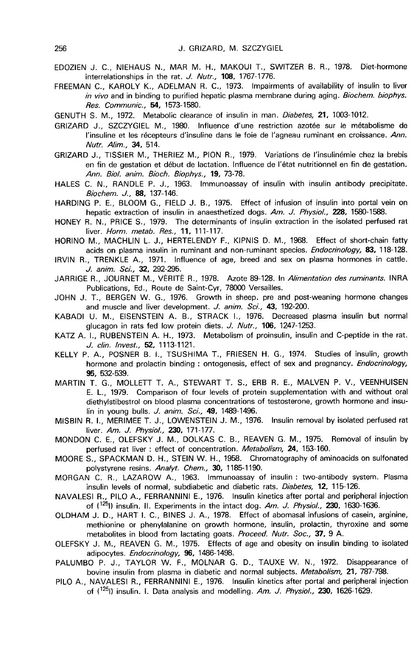- EDOZIEN J. C., NIEHAUS N., MAR M. H., MAKOUI T., SWITZER B. R., 1978. Diet-hormone interrelationships in the rat. J. Nutr., 108, 1767-1776.
- FREEMAN C., KAROLY K., ADELMAN R. C., 1973. Impairments of availability of insulin to liver in vivo and in binding to purified hepatic plasma membrane during aging. Biochem. biophys. Res. Communic., 54, 1573-1580.
- GENUTH S. M., 1972. Metabolic clearance of insulin in man. Diabetes, 21, 1003-1012.
- GRIZARD J., SZCZYGIEL M., 1980. Influence d'une restriction azotée sur le m6tabolisme de l'insuline et les récepteurs d'insuline dans le foie de l'agneau ruminant en croissance. Ann. Nutr. Alim., 34, 514.
- GRIZARD J., TISSIER M., THERIEZ M., PION R., 1979. Variations de l'insulinémie chez la brebis en fin de gestation et début de lactation. Influence de 1'6tat nutritionnel en fin de gestation. Ann. Biol. anim. Bioch. Biophys., 19, 73-78.
- HALES C. N., RANDLE P. J., 1963. Immunoassay of insulin with insulin antibody precipitate. Biochem. J., 88, 137-146.
- HARDING P. E., BLOOM G., FIELD J. B., 1975. Effect of infusion of insulin into portal vein on hepatic extraction of insulin in anaesthetized dogs. Am. J. Physiol., 228, 1580-1588.
- HONEY R. N., PRICE S., 1979. The determinants of insulin extraction in the isolated perfused rat liver. Horm. metab. Res., 11, 111-117.
- HORINO M., MACHLIN L. J., HERTELENDY F., KIPNIS D. M., 1968. Effect of short-chain fatty acids on plasma insulin in ruminant and non-ruminant species. *Endocrinology*, 83, 118-128.
- IRVIN R., TRENKLE A., 1971. Influence of age, breed and sex on plasma hormones in cattle. J. anim. Sci., 32, 292-295.
- JARRIGE R., JOURNET M., VÉRITÉ R., 1978. Azote 89-128. In Alimentation des ruminants. INRA Publications, Ed., Route de Saint-Cyr, 78000 Versailles.
- JOHN J. T., BERGEN W. G., 1976. Growth in sheep. pre and post-weaning hormone changes and muscle and liver development. J. anim. Sci., 43, 192-200.
- KABADI U. M., EISENSTEIN A. B., STRACK 1., 1976. Decreased plasma insulin but normal glucagon in rats fed low protein diets. J. Nutr., 106, 1247-1253.
- KATZ A. I., RUBENSTEIN A. H., 1973. Metabolism of proinsulin, insulin and C-peptide in the rat. J. clin. Invest., 52, 1113-1121.
- KELLY P. A., POSNER B. L, TSUSHIMA T., FRIESEN H. G., 1974. Studies of insulin, growth hormone and prolactin binding : ontogenesis, effect of sex and pregnancy. *Endocrinology*, 95, 532-539.
- MARTIN T. G., MOLLETT T. A., STEWART T. S., ERB R. E., MALVEN P. V., VEENHUISEN E. L., 1979. Comparison of four levels of protein supplementation with and without oral diethylstibestrol on blood plasma concentrations of testosterone, growth hormone and insulin in young bulls. J. anim. Sci., 49, 1489-1496.
- MISBIN R. I., MERIMEE T. J., LOWENSTEIN J. M., 1976. Insulin removal by isolated perfused rat liver. Am. J. Physiol., 230, 171-177.
- MONDON C. E., OLEFSKY J. M., DOLKAS C. B., REAVEN G. M., 1975. Removal of insulin by perfused rat liver : effect of concentration. Metabolism. 24, 153-160.
- MOORE S., SPACKMAN D. H., STEIN W. H., 1958. Chromatography of aminoacids on sulfonated polystyrene resins. Analyt. Chem., 30, 1185-1190.
- MORGAN C. R., LAZAROW A., 1963. Immunoassay of insulin : two-antibody system. Plasma insulin levels of normal, subdiabetic and diabetic rats. Diabetes, 12, 115-126.
- NAVALESI R., PILO A., FERRANNINI E., 1976. Insulin kinetics after portal and peripheral injection of  $(125)$  insulin. II. Experiments in the intact dog. Am. J. Physiol., 230, 1630-1636.
- OLDHAM J. D., HART I. C., BINES J. A., 1978. Effect of abomasal infusions of casein, arginine, methionine or phenylalanine on growth hormone, insulin, prolactin, thyroxine and some metabolites in blood from lactating goats. Proceed. Nutr. Soc., 37, 9 A.
- OLEFSKY J. M., REAVEN G. M., 1975. Effects of age and obesity on insulin binding to isolated adipocytes. Endocrinology, 96, 1486-1498.
- PALUMBO P. J., TAYLOR W. F., MOLNAR G. D., TAUXE W. N., 1972. Disappearance of bovine insulin from plasma in diabetic and normal subjects. Metabolism, 21, 787-798.
- PILO A., NAVALESI R., FERRANNINI E., 1976. Insulin kinetics after portal and peripheral injection of  $(1^{25}$ ]) insulin. I. Data analysis and modelling. Am. J. Physiol., 230, 1626-1629.